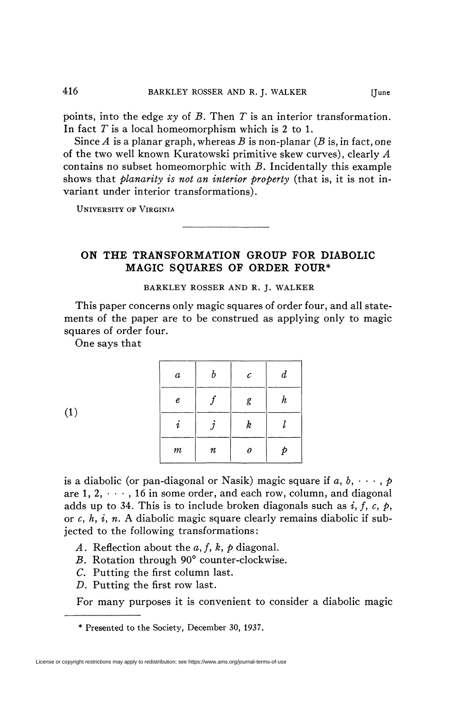points, into the edge *xy* of *B.* Then *T* is an interior transformation. In fact *T* is a local homeomorphism which is 2 to 1.

Since *A* is a planar graph, whereas *B* is non-planar *(B* is, in fact, one of the two well known Kuratowski primitive skew curves), clearly *A*  contains no subset homeomorphic with *B.* Incidentally this example shows that *planarity is not an interior property* (that is, it is not invariant under interior transformations).

UNIVERSITY OF VIRGINIA

**ON THE TRANSFORMATION GROUP FOR DIABOLIC MAGIC SQUARES OF ORDER FOUR\*** 

BARKLEY ROSSER AND R. J. WALKER

This paper concerns only magic squares of order four, and all statements of the paper are to be construed as applying only to magic squares of order four.

One says that

| $\boldsymbol{a}$ | $\boldsymbol{b}$ | $\mathcal C$     | $\boldsymbol{d}$ |
|------------------|------------------|------------------|------------------|
| e                |                  | g                | $\boldsymbol{h}$ |
| $\boldsymbol{i}$ |                  | $\boldsymbol{k}$ |                  |
| $\it m$          | $\boldsymbol{n}$ | 0                | Þ                |

 $(1)$ 

is a diabolic (or pan-diagonal or Nasik) magic square if  $a, b, \dots, p$ are  $1, 2, \dots$ , 16 in some order, and each row, column, and diagonal adds up to 34. This is to include broken diagonals such as  $i, f, c, p$ , or *c, h, i, n.* A diabolic magic square clearly remains diabolic if subjected to the following transformations:

- A. Reflection about the  $a, f, k, p$  diagonal.
- *B.* Rotation through 90° counter-clockwise.
- *C.* Putting the first column last.
- *D.* Putting the first row last.

For many purposes it is convenient to consider a diabolic magic

\* Presented to the Society, December 30, 1937.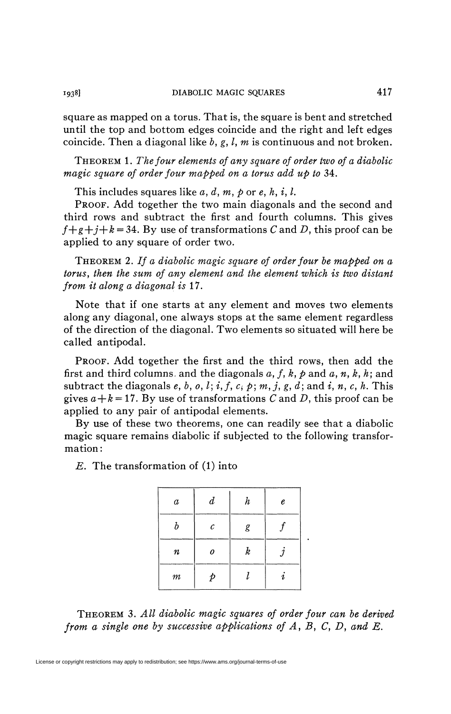square as mapped on a torus. That is, the square is bent and stretched until the top and bottom edges coincide and the right and left edges coincide. Then a diagonal like *b, g,* /, *m* is continuous and not broken.

THEOREM 1. *The four elements of any square of order two of a diabolic magic square of order four mapped on a torus add up to* 34.

This includes squares like  $a, d, m, p$  or  $e, h, i, l$ .

PROOF. Add together the two main diagonals and the second and third rows and subtract the first and fourth columns. This gives  $f+g+j+k=34$ . By use of transformations C and D, this proof can be applied to any square of order two.

THEOREM *2. If a diabolic magic square of order four be mapped on a torus<sup>f</sup> then the sum of any element and the element which is two distant from it along a diagonal is* 17.

Note that if one starts at any element and moves two elements along any diagonal, one always stops at the same element regardless of the direction of the diagonal. Two elements so situated will here be called antipodal.

PROOF. Add together the first and the third rows, then add the first and third columns, and the diagonals  $a, f, k, \rho$  and  $a, n, k, h$ ; and subtract the diagonals  $e, b, o, l; i, f, c, p; m, j, g, d$ ; and  $i, n, c, h$ . This gives  $a + k = 17$ . By use of transformations C and D, this proof can be applied to any pair of antipodal elements.

By use of these two theorems, one can readily see that a diabolic magic square remains diabolic if subjected to the following transformation :

*E.* The transformation of (1) into

| $\boldsymbol{a}$ | $\boldsymbol{d}$ | $\boldsymbol{h}$ | e  |
|------------------|------------------|------------------|----|
| h                | $\mathcal C$     | g                |    |
| $\pmb{n}$        | 0                | $\boldsymbol{k}$ |    |
| $\it m$          |                  |                  | Ä. |

THEOREM 3. All diabolic magic squares of order four can be derived *from a single one by successive applications of A, B, C, D, and E.*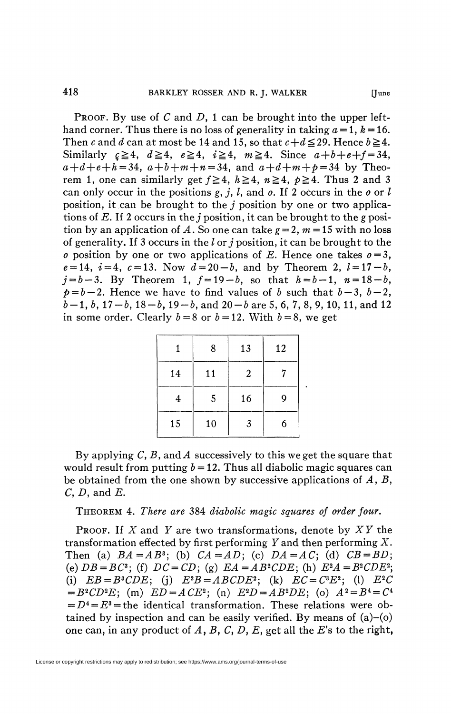PROOF. By use of *C* and *D,* 1 can be brought into the upper lefthand corner. Thus there is no loss of generality in taking  $a = 1$ ,  $k = 16$ . Then *c* and *d* can at most be 14 and 15, so that  $c+d \leq 29$ . Hence  $b \geq 4$ . Similarly  $\zeta \ge 4$ ,  $d \ge 4$ ,  $e \ge 4$ ,  $i \ge 4$ ,  $m \ge 4$ . Since  $a+b+e+f = 34$ ,  $a+d+e+h = 34$ ,  $a+b+m+n = 34$ , and  $a+d+m+p = 34$  by Theorem 1, one can similarly get  $f \ge 4$ ,  $h \ge 4$ ,  $n \ge 4$ ,  $p \ge 4$ . Thus 2 and 3 can only occur in the positions *g, j ,* /, and *o.* If 2 occurs in the *o* or / position, it can be brought to the *j* position by one or two applications of *E.* If 2 occurs in the *j* position, it can be brought to the *g* position by an application of A. So one can take  $g = 2$ ,  $m = 15$  with no loss of generality. If 3 occurs in the / or *j* position, it can be brought to the *o* position by one or two applications of *E*. Hence one takes  $o = 3$ ,  $e = 14$ ,  $i = 4$ ,  $c = 13$ . Now  $d = 20 - b$ , and by Theorem 2,  $l = 17 - b$ ,  $j=b-3$ . By Theorem 1,  $f=19-b$ , so that  $h=b-1$ ,  $n=18-b$ ,  $p = b - 2$ . Hence we have to find values of b such that  $b - 3$ ,  $b - 2$ ,  $b-1, b, 17-b, 18-b, 19-b,$  and  $20-b$  are 5, 6, 7, 8, 9, 10, 11, and 12 in some order. Clearly  $b = 8$  or  $b = 12$ . With  $b = 8$ , we get

|    | 8  | 13 | 12 |
|----|----|----|----|
| 14 | 11 | 2  |    |
| 4  | 5  | 16 | g  |
| 15 | 10 | 3  | 6  |

By applying C, B, and A successively to this we get the square that would result from putting  $b = 12$ . Thus all diabolic magic squares can be obtained from the one shown by successive applications of *A, B,*  C, *D,* and *E.* 

THEOREM 4. *There are* 384 *diabolic magic squares of order four.* 

PROOF. If *X* and *Y* are two transformations, denote by *X Y* the transformation effected by first performing *Y* and then performing X. Then (a)  $BA = AB^3$ ; (b)  $CA = AD$ ; (c)  $DA = AC$ ; (d)  $CB = BD$ ; (e)  $DB = BC^3$ ; (f)  $DC = CD$ ; (g)  $EA = AB^2CDE$ ; (h)  $E^2A = B^2CDE^2$ ; (i)  $EB = B^3CDE$ ; (j)  $E^2B = ABCDE^2$ ; (k)  $EC = C^3E^2$ ; (l)  $E^2C$  $= B^2CD^2E$ ; (m)  $ED = ACE^2$ ; (n)  $E^2D = AB^2DE$ ; (o)  $A^2 = B^4 = C^4$  $= D<sup>4</sup> = E<sup>3</sup>$  = the identical transformation. These relations were obtained by inspection and can be easily verified. By means of  $(a)$ – $(o)$ one can, in any product of  $A$ ,  $B$ ,  $C$ ,  $D$ ,  $E$ , get all the  $E$ 's to the right,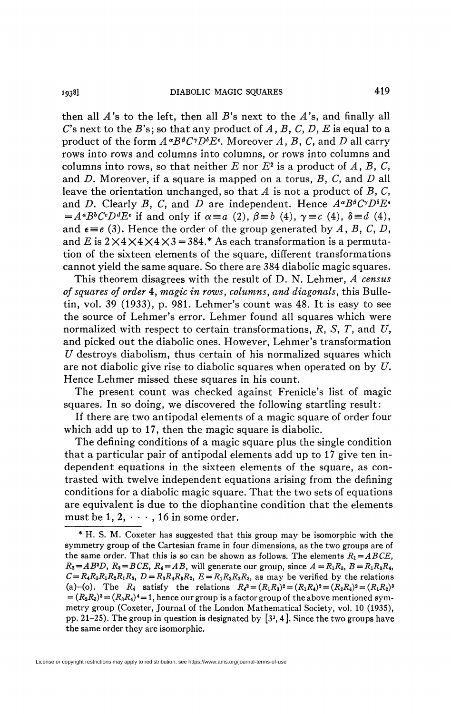1938] DIABOLIC MAGIC SQUARES 419

then all  $A$ 's to the left, then all  $B$ 's next to the  $A$ 's, and finally all C"s next to the *B's]* so that any product of *A, B, C, D, E* is equal to a product of the form  $A^{\alpha}B^{\beta}C^{\gamma}D^{\delta}E^{\epsilon}$ . Moreover *A*, *B*, *C*, and *D* all carry rows into rows and columns into columns, or rows into columns and columns into rows, so that neither  $E$  nor  $E^2$  is a product of  $A$ ,  $B$ ,  $C$ , and *D.* Moreover, if a square is mapped on a torus, *B, C,* and *D* all leave the orientation unchanged, so that *A* is not a product of *B, C,*  and *D*. Clearly *B*, *C*, and *D* are independent. Hence  $A^{\alpha}B^{\beta}C^{\gamma}D^{\delta}E^{\epsilon}$  $= A^a B^b C^c D^d E^e$  if and only if  $\alpha \equiv a$  (2),  $\beta \equiv b$  (4),  $\gamma \equiv c$  (4),  $\delta \equiv d$  (4), and  $\epsilon = e$  (3). Hence the order of the group generated by A, B, C, D, and E is  $2\times4\times4\times4\times3=384.*$  As each transformation is a permutation of the sixteen elements of the square, different transformations cannot yield the same square. So there are 384 diabolic magic squares.

This theorem disagrees with the result of D. N. Lehmer, *A census of squares of order* 4, *magic in rows, columns, and diagonals,* this Bulletin, vol. 39 (1933), p. 981. Lehmer's count was 48. It is easy to see the source of Lehmer's error. Lehmer found all squares which were normalized with respect to certain transformations, *R, S, T,* and *U,*  and picked out the diabolic ones. However, Lehmer's transformation *U* destroys diabolism, thus certain of his normalized squares which are not diabolic give rise to diabolic squares when operated on by *U.*  Hence Lehmer missed these squares in his count.

The present count was checked against Frenicle's list of magic squares. In so doing, we discovered the following startling result:

If there are two antipodal elements of a magic square of order four which add up to 17, then the magic square is diabolic.

The defining conditions of a magic square plus the single condition that a particular pair of antipodal elements add up to 17 give ten independent equations in the sixteen elements of the square, as contrasted with twelve independent equations arising from the defining conditions for a diabolic magic square. That the two sets of equations are equivalent is due to the diophantine condition that the elements must be  $1, 2, \cdots$ , 16 in some order.

<sup>\*</sup> H. S. M. Coxeter has suggested that this group may be isomorphic with the symmetry group of the Cartesian frame in four dimensions, as the two groups are of the same order. That this is so can be shown as follows. The elements  $R_1 = ABCE$ ,  $R_2 = AB^3D$ ,  $R_3 = BCE$ ,  $R_4 = AB$ , will generate our group, since  $A = R_1R_3$ ,  $B = R_1R_3R_4$ ,  $C = R_4 R_3 R_1 R_2 R_1 R_3$ ,  $D = R_3 R_4 R_3 R_2$ ,  $E = R_1 R_3 R_2 R_3$ , as may be verified by the relations (a)-(o). The  $R_i$  satisfy the relations  $R_i^2 = (R_1R_3)^2 = (R_1R_4)^2 = (R_2R_4)^2 = (R_1R_2)^3$  $=(R_2R_3)^3 = (R_3R_4)^4 = 1$ , hence our group is a factor group of the above mentioned symmetry group (Coxeter, Journal of the London Mathematical Society, vol. 10 (1935), pp. 21–25). The group in question is designated by  $[3^2, 4]$ . Since the two groups have the same order they are isomorphic.